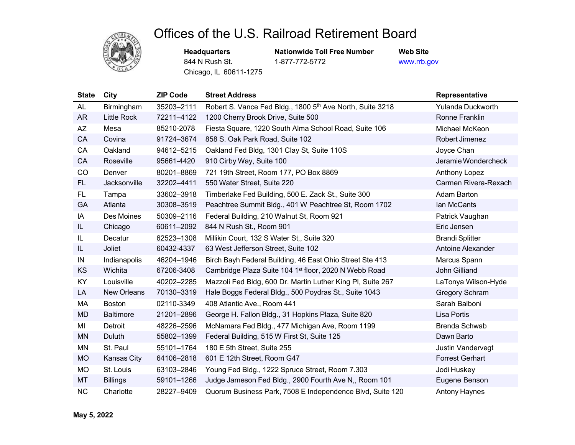## Offices of the U.S. Railroad Retirement Board

Chicago, IL 60611-1275

**Headquarters Mationwide Toll Free Number Web Site**<br>844 N Rush St. 1-877-772-5772 www.rrb.g 1-877-772-5772 www.rrb.gov

| <b>State</b> | City               | <b>ZIP Code</b> | <b>Street Address</b>                                      | <b>Representative</b>  |
|--------------|--------------------|-----------------|------------------------------------------------------------|------------------------|
| <b>AL</b>    | Birmingham         | 35203-2111      | Robert S. Vance Fed Bldg., 1800 5th Ave North, Suite 3218  | Yulanda Duckworth      |
| <b>AR</b>    | <b>Little Rock</b> | 72211-4122      | 1200 Cherry Brook Drive, Suite 500                         | Ronne Franklin         |
| <b>AZ</b>    | Mesa               | 85210-2078      | Fiesta Square, 1220 South Alma School Road, Suite 106      | Michael McKeon         |
| CA           | Covina             | 91724-3674      | 858 S. Oak Park Road, Suite 102                            | Robert Jimenez         |
| CA           | Oakland            | 94612-5215      | Oakland Fed Bldg, 1301 Clay St, Suite 110S                 | Joyce Chan             |
| CA           | Roseville          | 95661-4420      | 910 Cirby Way, Suite 100                                   | Jeramie Wondercheck    |
| CO           | Denver             | 80201-8869      | 721 19th Street, Room 177, PO Box 8869                     | Anthony Lopez          |
| FL.          | Jacksonville       | 32202-4411      | 550 Water Street, Suite 220                                | Carmen Rivera-Rexach   |
| FL.          | Tampa              | 33602-3918      | Timberlake Fed Building, 500 E. Zack St., Suite 300        | Adam Barton            |
| <b>GA</b>    | Atlanta            | 30308-3519      | Peachtree Summit Bldg., 401 W Peachtree St, Room 1702      | lan McCants            |
| IA           | Des Moines         | 50309-2116      | Federal Building, 210 Walnut St, Room 921                  | Patrick Vaughan        |
| IL           | Chicago            | 60611-2092      | 844 N Rush St., Room 901                                   | Eric Jensen            |
| IL           | Decatur            | 62523-1308      | Millikin Court, 132 S Water St., Suite 320                 | <b>Brandi Splitter</b> |
| IL.          | Joliet             | 60432-4337      | 63 West Jefferson Street, Suite 102                        | Antoine Alexander      |
| IN           | Indianapolis       | 46204-1946      | Birch Bayh Federal Building, 46 East Ohio Street Ste 413   | Marcus Spann           |
| KS           | Wichita            | 67206-3408      | Cambridge Plaza Suite 104 1st floor, 2020 N Webb Road      | John Gilliand          |
| KY           | Louisville         | 40202-2285      | Mazzoli Fed Bldg, 600 Dr. Martin Luther King PI, Suite 267 | LaTonya Wilson-Hyde    |
| LA           | New Orleans        | 70130-3319      | Hale Boggs Federal Bldg., 500 Poydras St., Suite 1043      | <b>Gregory Schram</b>  |
| MA           | <b>Boston</b>      | 02110-3349      | 408 Atlantic Ave., Room 441                                | Sarah Balboni          |
| <b>MD</b>    | <b>Baltimore</b>   | 21201-2896      | George H. Fallon Bldg., 31 Hopkins Plaza, Suite 820        | Lisa Portis            |
| MI           | Detroit            | 48226-2596      | McNamara Fed Bldg., 477 Michigan Ave, Room 1199            | <b>Brenda Schwab</b>   |
| <b>MN</b>    | Duluth             | 55802-1399      | Federal Building, 515 W First St, Suite 125                | Dawn Barto             |
| MN           | St. Paul           | 55101-1764      | 180 E 5th Street, Suite 255                                | Justin Vandervegt      |
| <b>MO</b>    | Kansas City        | 64106-2818      | 601 E 12th Street, Room G47                                | <b>Forrest Gerhart</b> |
| <b>MO</b>    | St. Louis          | 63103-2846      | Young Fed Bldg., 1222 Spruce Street, Room 7.303            | Jodi Huskey            |
| MT           | <b>Billings</b>    | 59101-1266      | Judge Jameson Fed Bldg., 2900 Fourth Ave N,, Room 101      | Eugene Benson          |
| <b>NC</b>    | Charlotte          | 28227-9409      | Quorum Business Park, 7508 E Independence Blvd, Suite 120  | <b>Antony Haynes</b>   |